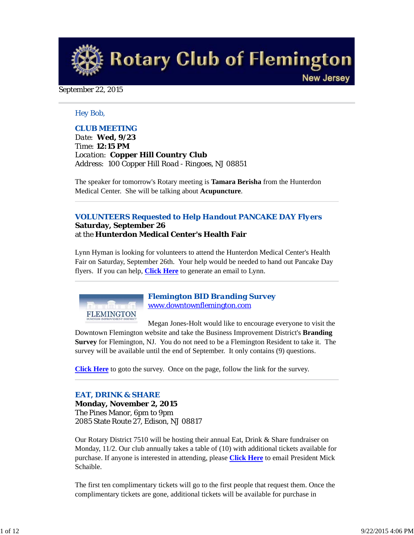**Rotary Club of Flemington New Jersey** 

September 22, 2015

### *Hey Bob,*

## *CLUB MEETING*

*Date: Wed, 9/23 Time: 12:15 PM Location: Copper Hill Country Club Address: 100 Copper Hill Road - Ringoes, NJ 08851*

The speaker for tomorrow's Rotary meeting is **Tamara Berisha** from the Hunterdon Medical Center. She will be talking about **Acupuncture**.

## *VOLUNTEERS Requested to Help Handout PANCAKE DAY Flyers* **Saturday, September 26** at the **Hunterdon Medical Center's Health Fair**

Lynn Hyman is looking for volunteers to attend the Hunterdon Medical Center's Health Fair on Saturday, September 26th. Your help would be needed to hand out Pancake Day flyers. If you can help, **Click Here** to generate an email to Lynn.



*Flemington BID Branding Survey* www.downtownflemington.com

Megan Jones-Holt would like to encourage everyone to visit the Downtown Flemington website and take the Business Improvement District's **Branding Survey** for Flemington, NJ. You do not need to be a Flemington Resident to take it. The survey will be available until the end of September. It only contains (9) questions.

**Click Here** to goto the survey. Once on the page, follow the link for the survey.

#### *EAT, DRINK & SHARE*

**Monday, November 2, 2015** The Pines Manor, 6pm to 9pm 2085 State Route 27, Edison, NJ 08817

Our Rotary District 7510 will be hosting their annual Eat, Drink & Share fundraiser on Monday, 11/2. Our club annually takes a table of (10) with additional tickets available for purchase. If anyone is interested in attending, please **Click Here** to email President Mick Schaible.

The first ten complimentary tickets will go to the first people that request them. Once the complimentary tickets are gone, additional tickets will be available for purchase in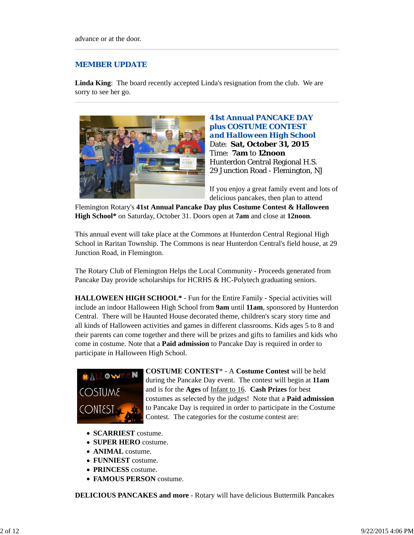## *MEMBER UPDATE*

**Linda King**: The board recently accepted Linda's resignation from the club. We are sorry to see her go.



## **41st Annual PANCAKE DAY plus COSTUME CONTEST**  *and Halloween High School* Date: **Sat, October 31, 2015** Time: **7am** to **12noon** Hunterdon Central Regional H.S. 29 Junction Road - Flemington, NJ

If you enjoy a great family event and lots of delicious pancakes, then plan to attend

Flemington Rotary's **41st Annual Pancake Day plus Costume Contest & Halloween High School\*** on Saturday, October 31. Doors open at **7am** and close at **12noon**.

This annual event will take place at the Commons at Hunterdon Central Regional High School in Raritan Township. The Commons is near Hunterdon Central's field house, at 29 Junction Road, in Flemington.

The Rotary Club of Flemington Helps the Local Community - Proceeds generated from Pancake Day provide scholarships for HCRHS & HC-Polytech graduating seniors.

**HALLOWEEN HIGH SCHOOL\*** - Fun for the Entire Family - Special activities will include an indoor Halloween High School from **9am** until **11am**, sponsored by Hunterdon Central. There will be Haunted House decorated theme, children's scary story time and all kinds of Halloween activities and games in different classrooms. Kids ages 5 to 8 and their parents can come together and there will be prizes and gifts to families and kids who come in costume. Note that a **Paid admission** to Pancake Day is required in order to participate in Halloween High School.



**COSTUME CONTEST**\* - A **Costume Contest** will be held during the Pancake Day event. The contest will begin at **11am** and is for the **Ages** of Infant to 16. **Cash Prizes** for best costumes as selected by the judges! Note that a **Paid admission** to Pancake Day is required in order to participate in the Costume Contest. The categories for the costume contest are:

- **SCARRIEST** costume.
- **SUPER HERO** costume.
- **ANIMAL** costume.
- **FUNNIEST** costume.
- **PRINCESS** costume.
- **FAMOUS PERSON** costume.

**DELICIOUS PANCAKES and more** - Rotary will have delicious Buttermilk Pancakes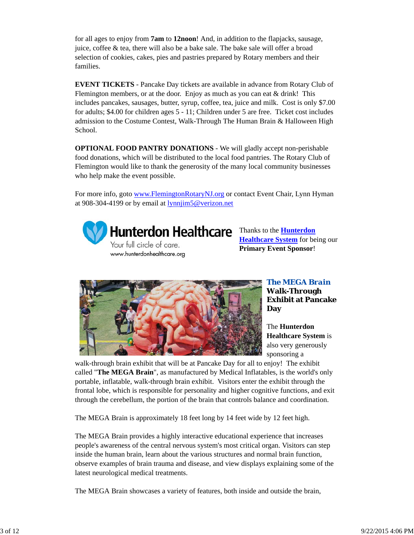for all ages to enjoy from **7am** to **12noon**! And, in addition to the flapjacks, sausage, juice, coffee & tea, there will also be a bake sale. The bake sale will offer a broad selection of cookies, cakes, pies and pastries prepared by Rotary members and their families.

**EVENT TICKETS** - Pancake Day tickets are available in advance from Rotary Club of Flemington members, or at the door. Enjoy as much as you can eat & drink! This includes pancakes, sausages, butter, syrup, coffee, tea, juice and milk. Cost is only \$7.00 for adults; \$4.00 for children ages 5 - 11; Children under 5 are free. Ticket cost includes admission to the Costume Contest, Walk-Through The Human Brain & Halloween High School.

**OPTIONAL FOOD PANTRY DONATIONS** - We will gladly accept non-perishable food donations, which will be distributed to the local food pantries. The Rotary Club of Flemington would like to thank the generosity of the many local community businesses who help make the event possible.

For more info, goto www.FlemingtonRotaryNJ.org or contact Event Chair, Lynn Hyman at 908-304-4199 or by email at  $lynnjim5@verizon.net$ </u>



Hunterdon Healthcare Thanks to the **Hunterdon** 

Your full circle of care. www.hunterdonhealthcare.org **Healthcare System** for being our **Primary Event Sponsor**!



*The MEGA Brain* **Walk-Through Exhibit at Pancake Day**

The **Hunterdon Healthcare System** is also very generously sponsoring a

walk-through brain exhibit that will be at Pancake Day for all to enjoy! The exhibit called "**The MEGA Brain**", as manufactured by Medical Inflatables, is the world's only portable, inflatable, walk-through brain exhibit. Visitors enter the exhibit through the frontal lobe, which is responsible for personality and higher cognitive functions, and exit through the cerebellum, the portion of the brain that controls balance and coordination.

The MEGA Brain is approximately 18 feet long by 14 feet wide by 12 feet high.

The MEGA Brain provides a highly interactive educational experience that increases people's awareness of the central nervous system's most critical organ. Visitors can step inside the human brain, learn about the various structures and normal brain function, observe examples of brain trauma and disease, and view displays explaining some of the latest neurological medical treatments.

The MEGA Brain showcases a variety of features, both inside and outside the brain,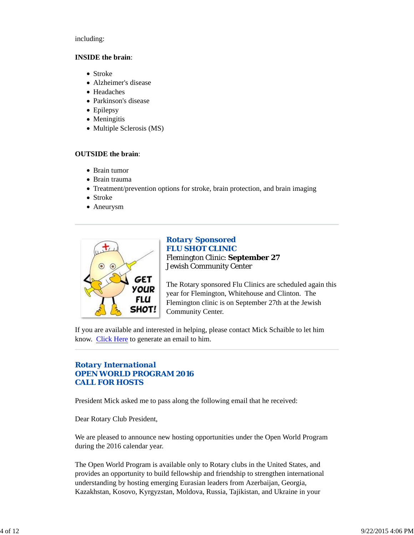including:

#### **INSIDE the brain**:

- Stroke
- Alzheimer's disease
- Headaches
- Parkinson's disease
- Epilepsy
- Meningitis
- Multiple Sclerosis (MS)

## **OUTSIDE the brain**:

- Brain tumor
- Brain trauma
- Treatment/prevention options for stroke, brain protection, and brain imaging
- Stroke
- Aneurysm



## *Rotary Sponsored FLU SHOT CLINIC* Flemington Clinic: **September 27** Jewish Community Center

The Rotary sponsored Flu Clinics are scheduled again this year for Flemington, Whitehouse and Clinton. The Flemington clinic is on September 27th at the Jewish Community Center.

If you are available and interested in helping, please contact Mick Schaible to let him know. Click Here to generate an email to him.

## *Rotary International OPEN WORLD PROGRAM 2016 CALL FOR HOSTS*

President Mick asked me to pass along the following email that he received:

Dear Rotary Club President,

We are pleased to announce new hosting opportunities under the Open World Program during the 2016 calendar year.

The Open World Program is available only to Rotary clubs in the United States, and provides an opportunity to build fellowship and friendship to strengthen international understanding by hosting emerging Eurasian leaders from Azerbaijan, Georgia, Kazakhstan, Kosovo, Kyrgyzstan, Moldova, Russia, Tajikistan, and Ukraine in your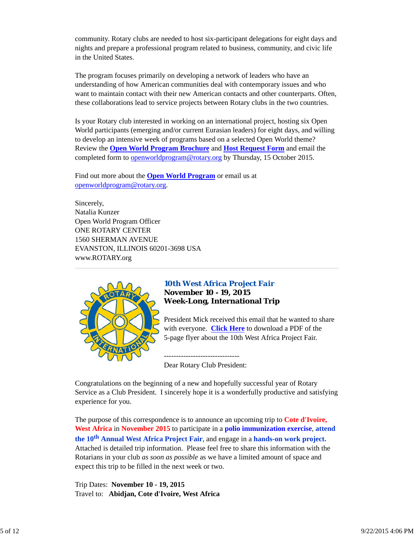community. Rotary clubs are needed to host six-participant delegations for eight days and nights and prepare a professional program related to business, community, and civic life in the United States.

The program focuses primarily on developing a network of leaders who have an understanding of how American communities deal with contemporary issues and who want to maintain contact with their new American contacts and other counterparts. Often, these collaborations lead to service projects between Rotary clubs in the two countries.

Is your Rotary club interested in working on an international project, hosting six Open World participants (emerging and/or current Eurasian leaders) for eight days, and willing to develop an intensive week of programs based on a selected Open World theme? Review the **Open World Program Brochure** and **Host Request Form** and email the completed form to **openworldprogram@rotary.org** by Thursday, 15 October 2015.

Find out more about the **Open World Program** or email us at openworldprogram@rotary.org.

Sincerely, Natalia Kunzer Open World Program Officer ONE ROTARY CENTER 1560 SHERMAN AVENUE EVANSTON, ILLINOIS 60201-3698 USA www.ROTARY.org



## *10th West Africa Project Fair* **November 10 - 19, 2015 Week-Long, International Trip**

President Mick received this email that he wanted to share with everyone. **Click Here** to download a PDF of the 5-page flyer about the 10th West Africa Project Fair.

------------------------------- Dear Rotary Club President:

Congratulations on the beginning of a new and hopefully successful year of Rotary Service as a Club President. I sincerely hope it is a wonderfully productive and satisfying experience for you.

The purpose of this correspondence is to announce an upcoming trip to **Cote d'Ivoire, West Africa** in **November 2015** to participate in a **polio immunization exercise**, **attend the 10th Annual West Africa Project Fair**, and engage in a **hands-on work project.** Attached is detailed trip information. Please feel free to share this information with the Rotarians in your club *as soon as possible* as we have a limited amount of space and expect this trip to be filled in the next week or two.

Trip Dates: **November 10 - 19, 2015** Travel to: **Abidjan, Cote d'Ivoire, West Africa**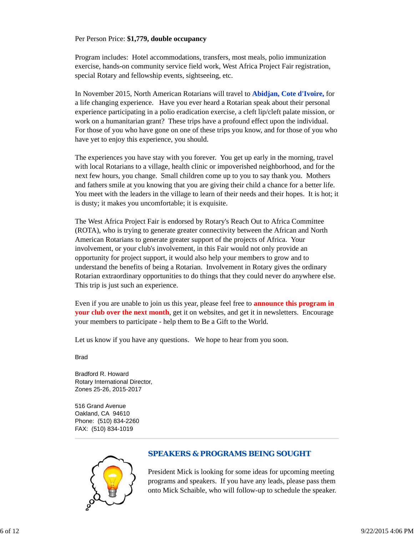#### Per Person Price: **\$1,779, double occupancy**

Program includes: Hotel accommodations, transfers, most meals, polio immunization exercise, hands-on community service field work, West Africa Project Fair registration, special Rotary and fellowship events, sightseeing, etc.

In November 2015, North American Rotarians will travel to **Abidjan, Cote d'Ivoire,** for a life changing experience. Have you ever heard a Rotarian speak about their personal experience participating in a polio eradication exercise, a cleft lip/cleft palate mission, or work on a humanitarian grant? These trips have a profound effect upon the individual. For those of you who have gone on one of these trips you know, and for those of you who have yet to enjoy this experience, you should.

The experiences you have stay with you forever. You get up early in the morning, travel with local Rotarians to a village, health clinic or impoverished neighborhood, and for the next few hours, you change. Small children come up to you to say thank you. Mothers and fathers smile at you knowing that you are giving their child a chance for a better life. You meet with the leaders in the village to learn of their needs and their hopes. It is hot; it is dusty; it makes you uncomfortable; it is exquisite.

The West Africa Project Fair is endorsed by Rotary's Reach Out to Africa Committee (ROTA), who is trying to generate greater connectivity between the African and North American Rotarians to generate greater support of the projects of Africa. Your involvement, or your club's involvement, in this Fair would not only provide an opportunity for project support, it would also help your members to grow and to understand the benefits of being a Rotarian. Involvement in Rotary gives the ordinary Rotarian extraordinary opportunities to do things that they could never do anywhere else. This trip is just such an experience.

Even if you are unable to join us this year, please feel free to **announce this program in your club over the next month**, get it on websites, and get it in newsletters. Encourage your members to participate - help them to Be a Gift to the World.

Let us know if you have any questions. We hope to hear from you soon.

**Brad** 

Bradford R. Howard Rotary International Director, Zones 25-26, 2015-2017

516 Grand Avenue Oakland, CA 94610 Phone: (510) 834-2260 FAX: (510) 834-1019



## *SPEAKERS & PROGRAMS BEING SOUGHT*

President Mick is looking for some ideas for upcoming meeting programs and speakers. If you have any leads, please pass them onto Mick Schaible, who will follow-up to schedule the speaker.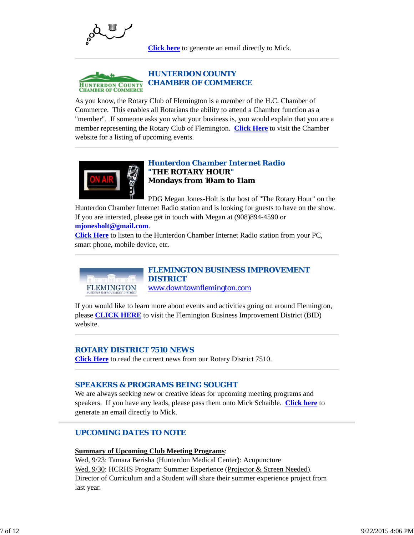

**Click here** to generate an email directly to Mick.



As you know, the Rotary Club of Flemington is a member of the H.C. Chamber of Commerce. This enables all Rotarians the ability to attend a Chamber function as a "member". If someone asks you what your business is, you would explain that you are a member representing the Rotary Club of Flemington. **Click Here** to visit the Chamber website for a listing of upcoming events.



## *Hunterdon Chamber Internet Radio "THE ROTARY HOUR"* **Mondays from 10am to 11am**

PDG Megan Jones-Holt is the host of "The Rotary Hour" on the Hunterdon Chamber Internet Radio station and is looking for guests to have on the show. If you are intersted, please get in touch with Megan at (908)894-4590 or

#### **mjonesholt@gmail.com**.

**Click Here** to listen to the Hunterdon Chamber Internet Radio station from your PC, smart phone, mobile device, etc.



*FLEMINGTON BUSINESS IMPROVEMENT DISTRICT* www.downtownflemington.com

If you would like to learn more about events and activities going on around Flemington, please **CLICK HERE** to visit the Flemington Business Improvement District (BID) website.

### *ROTARY DISTRICT 7510 NEWS*

**Click Here** to read the current news from our Rotary District 7510.

#### *SPEAKERS & PROGRAMS BEING SOUGHT*

We are always seeking new or creative ideas for upcoming meeting programs and speakers. If you have any leads, please pass them onto Mick Schaible. **Click here** to generate an email directly to Mick.

## *UPCOMING DATES TO NOTE*

#### **Summary of Upcoming Club Meeting Programs**:

Wed, 9/23: Tamara Berisha (Hunterdon Medical Center): Acupuncture Wed, 9/30: HCRHS Program: Summer Experience (Projector & Screen Needed). Director of Curriculum and a Student will share their summer experience project from last year.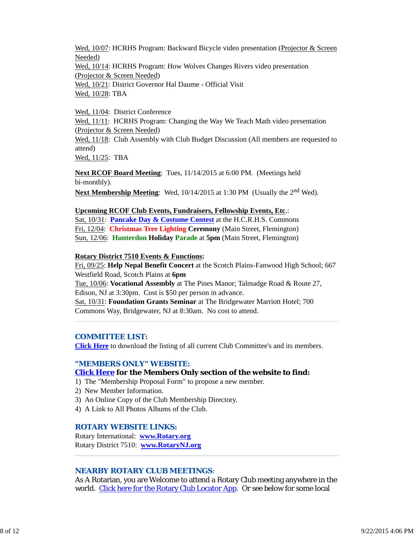Wed, 10/07: HCRHS Program: Backward Bicycle video presentation (Projector & Screen Needed) Wed, 10/14: HCRHS Program: How Wolves Changes Rivers video presentation (Projector & Screen Needed) Wed, 10/21: District Governor Hal Daume - Official Visit Wed, 10/28: TBA

Wed, 11/04: District Conference

Wed,  $11/11$ : HCRHS Program: Changing the Way We Teach Math video presentation (Projector & Screen Needed) Wed, 11/18: Club Assembly with Club Budget Discussion (All members are requested to attend)

Wed, 11/25: TBA

**Next RCOF Board Meeting**: Tues, 11/14/2015 at 6:00 PM. (Meetings held bi-monthly).

**Next Membership Meeting**: Wed, 10/14/2015 at 1:30 PM (Usually the 2<sup>nd</sup> Wed).

## **Upcoming RCOF Club Events, Fundraisers, Fellowship Events, Etc**.:

Sat, 10/31: **Pancake Day & Costume Contest** at the H.C.R.H.S. Commons Fri, 12/04: **Christmas Tree Lighting Ceremony** (Main Street, Flemington) Sun, 12/06: **Hunterdon Holiday Parade** at **5pm** (Main Street, Flemington)

## **Rotary District 7510 Events & Functions:**

Fri, 09/25: **Help Nepal Benefit Concert** at the Scotch Plains-Fanwood High School; 667 Westfield Road, Scotch Plains at **6pm** Tue, 10/06: **Vocational Assembly** at The Pines Manor; Talmadge Road & Route 27, Edison, NJ at 3:30pm. Cost is \$50 per person in advance. Sat, 10/31: **Foundation Grants Seminar** at The Bridgewater Marriott Hotel; 700 Commons Way, Bridgewater, NJ at 8:30am. No cost to attend.

#### *COMMITTEE LIST:*

**Click Here** to download the listing of all current Club Committee's and its members.

## *"MEMBERS ONLY" WEBSITE:*

## **Click Here for the Members Only section of the website to find:**

- 1) The "Membership Proposal Form" to propose a new member.
- 2) New Member Information.
- 3) An Online Copy of the Club Membership Directory.
- 4) A Link to All Photos Albums of the Club.

## *ROTARY WEBSITE LINKS:*

Rotary International: **www.Rotary.org** Rotary District 7510: **www.RotaryNJ.org**

## *NEARBY ROTARY CLUB MEETINGS:*

As A Rotarian, you are Welcome to attend a Rotary Club meeting anywhere in the world. Click here for the Rotary Club Locator App. Or see below for some local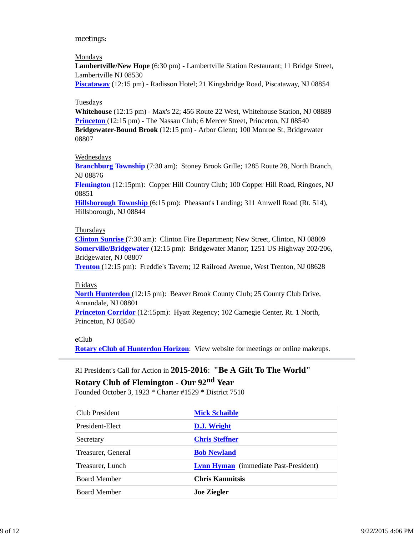#### meetings:

#### Mondays

**Lambertville/New Hope** (6:30 pm) - Lambertville Station Restaurant; 11 Bridge Street, Lambertville NJ 08530

**Piscataway** (12:15 pm) - Radisson Hotel; 21 Kingsbridge Road, Piscataway, NJ 08854

#### Tuesdays

**Whitehouse** (12:15 pm) - Max's 22; 456 Route 22 West, Whitehouse Station, NJ 08889 **Princeton** (12:15 pm) - The Nassau Club; 6 Mercer Street, Princeton, NJ 08540 **Bridgewater-Bound Brook** (12:15 pm) - Arbor Glenn; 100 Monroe St, Bridgewater 08807

#### Wednesdays

**Branchburg Township** (7:30 am): Stoney Brook Grille; 1285 Route 28, North Branch, NJ 08876

**Flemington** (12:15pm): Copper Hill Country Club; 100 Copper Hill Road, Ringoes, NJ 08851

**Hillsborough Township** (6:15 pm): Pheasant's Landing; 311 Amwell Road (Rt. 514), Hillsborough, NJ 08844

#### **Thursdays**

**Clinton Sunrise** (7:30 am): Clinton Fire Department; New Street, Clinton, NJ 08809 **Somerville/Bridgewater** (12:15 pm): Bridgewater Manor; 1251 US Highway 202/206, Bridgewater, NJ 08807

**Trenton** (12:15 pm): Freddie's Tavern; 12 Railroad Avenue, West Trenton, NJ 08628

#### Fridays

**North Hunterdon** (12:15 pm): Beaver Brook County Club; 25 County Club Drive, Annandale, NJ 08801

**Princeton Corridor** (12:15pm): Hyatt Regency; 102 Carnegie Center, Rt. 1 North, Princeton, NJ 08540

#### eClub

**Rotary eClub of Hunterdon Horizon**: View website for meetings or online makeups.

#### RI President's Call for Action in **2015-2016**: **"Be A Gift To The World"**

# **Rotary Club of Flemington - Our 92nd Year**

Founded October 3, 1923 \* Charter #1529 \* District 7510

| Club President      | <b>Mick Schaible</b>                         |
|---------------------|----------------------------------------------|
| President-Elect     | D.J. Wright                                  |
| Secretary           | <b>Chris Steffner</b>                        |
| Treasurer, General  | <b>Bob Newland</b>                           |
| Treasurer, Lunch    | <b>Lynn Hyman</b> (immediate Past-President) |
| Board Member        | <b>Chris Kamnitsis</b>                       |
| <b>Board Member</b> | <b>Joe Ziegler</b>                           |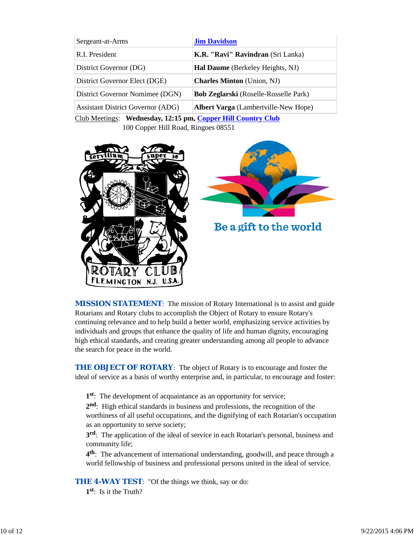| Sergeant-at-Arms                            | <b>Jim Davidson</b>                          |  |
|---------------------------------------------|----------------------------------------------|--|
| R.I. President                              | K.R. "Ravi" Ravindran (Sri Lanka)            |  |
| District Governor (DG)                      | Hal Daume (Berkeley Heights, NJ)             |  |
| District Governor Elect (DGE)               | <b>Charles Minton</b> (Union, NJ)            |  |
| District Governor Nomimee (DGN)             | <b>Bob Zeglarski</b> (Roselle-Rosselle Park) |  |
| <b>Assistant District Governor (ADG)</b>    | <b>Albert Varga</b> (Lambertville-New Hope)  |  |
| $C11M$ $C11M$ $D1$ $D1$ $D1$ $D1$ $D1$ $D1$ |                                              |  |

Club Meetings: **Wednesday, 12:15 pm, Copper Hill Country Club** 100 Copper Hill Road, Ringoes 08551



*MISSION STATEMENT*: The mission of Rotary International is to assist and guide Rotarians and Rotary clubs to accomplish the Object of Rotary to ensure Rotary's continuing relevance and to help build a better world, emphasizing service activities by individuals and groups that enhance the quality of life and human dignity, encouraging high ethical standards, and creating greater understanding among all people to advance the search for peace in the world.

**THE OBJECT OF ROTARY:** The object of Rotary is to encourage and foster the ideal of service as a basis of worthy enterprise and, in particular, to encourage and foster:

**1st**: The development of acquaintance as an opportunity for service;

**2nd**: High ethical standards in business and professions, the recognition of the worthiness of all useful occupations, and the dignifying of each Rotarian's occupation as an opportunity to serve society;

**3rd**: The application of the ideal of service in each Rotarian's personal, business and community life;

**4th**: The advancement of international understanding, goodwill, and peace through a world fellowship of business and professional persons united in the ideal of service.

**THE 4-WAY TEST:** "Of the things we think, say or do:

**1st**: Is it the Truth?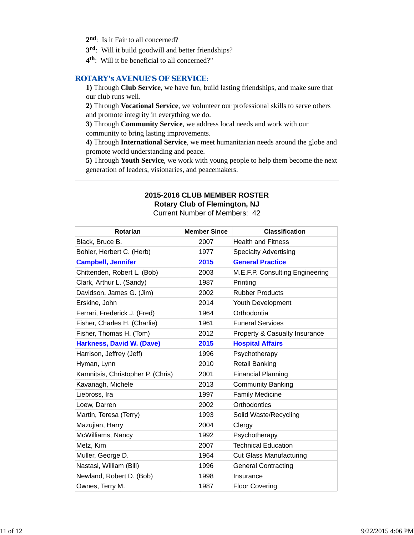- 2<sup>nd</sup>: Is it Fair to all concerned?
- **3rd**: Will it build goodwill and better friendships?
- **4th**: Will it be beneficial to all concerned?"

## *ROTARY's AVENUE'S OF SERVICE*:

**1)** Through **Club Service**, we have fun, build lasting friendships, and make sure that our club runs well.

**2)** Through **Vocational Service**, we volunteer our professional skills to serve others and promote integrity in everything we do.

**3)** Through **Community Service**, we address local needs and work with our community to bring lasting improvements.

**4)** Through **International Service**, we meet humanitarian needs around the globe and promote world understanding and peace.

**5)** Through **Youth Service**, we work with young people to help them become the next generation of leaders, visionaries, and peacemakers.

#### **2015-2016 CLUB MEMBER ROSTER Rotary Club of Flemington, NJ**

Current Number of Members: 42

| <b>Rotarian</b>                   | <b>Member Since</b> | <b>Classification</b>           |
|-----------------------------------|---------------------|---------------------------------|
| Black, Bruce B.                   | 2007                | <b>Health and Fitness</b>       |
| Bohler, Herbert C. (Herb)         | 1977                | <b>Specialty Advertising</b>    |
| <b>Campbell, Jennifer</b>         | 2015                | <b>General Practice</b>         |
| Chittenden, Robert L. (Bob)       | 2003                | M.E.F.P. Consulting Engineering |
| Clark, Arthur L. (Sandy)          | 1987                | Printing                        |
| Davidson, James G. (Jim)          | 2002                | <b>Rubber Products</b>          |
| Erskine, John                     | 2014                | Youth Development               |
| Ferrari, Frederick J. (Fred)      | 1964                | Orthodontia                     |
| Fisher, Charles H. (Charlie)      | 1961                | <b>Funeral Services</b>         |
| Fisher, Thomas H. (Tom)           | 2012                | Property & Casualty Insurance   |
| <b>Harkness, David W. (Dave)</b>  | 2015                | <b>Hospital Affairs</b>         |
| Harrison, Jeffrey (Jeff)          | 1996                | Psychotherapy                   |
| Hyman, Lynn                       | 2010                | <b>Retail Banking</b>           |
| Kamnitsis, Christopher P. (Chris) | 2001                | <b>Financial Planning</b>       |
| Kavanagh, Michele                 | 2013                | <b>Community Banking</b>        |
| Liebross, Ira                     | 1997                | <b>Family Medicine</b>          |
| Loew, Darren                      | 2002                | Orthodontics                    |
| Martin, Teresa (Terry)            | 1993                | Solid Waste/Recycling           |
| Mazujian, Harry                   | 2004                | Clergy                          |
| McWilliams, Nancy                 | 1992                | Psychotherapy                   |
| Metz, Kim                         | 2007                | <b>Technical Education</b>      |
| Muller, George D.                 | 1964                | <b>Cut Glass Manufacturing</b>  |
| Nastasi, William (Bill)           | 1996                | <b>General Contracting</b>      |
| Newland, Robert D. (Bob)          | 1998                | Insurance                       |
| Ownes, Terry M.                   | 1987                | <b>Floor Covering</b>           |